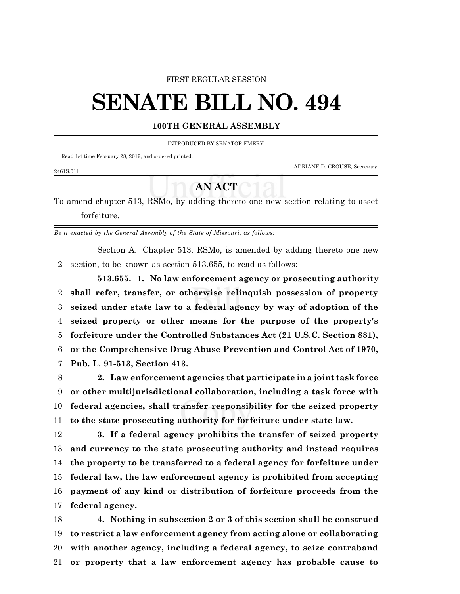#### FIRST REGULAR SESSION

# **SENATE BILL NO. 494**

### **100TH GENERAL ASSEMBLY**

INTRODUCED BY SENATOR EMERY.

Read 1st time February 28, 2019, and ordered printed.

ADRIANE D. CROUSE, Secretary.

#### 2461S.01I

## **AN ACT**

To amend chapter 513, RSMo, by adding thereto one new section relating to asset forfeiture.

*Be it enacted by the General Assembly of the State of Missouri, as follows:*

Section A. Chapter 513, RSMo, is amended by adding thereto one new section, to be known as section 513.655, to read as follows:

**513.655. 1. No law enforcement agency or prosecuting authority shall refer, transfer, or otherwise relinquish possession of property seized under state law to a federal agency by way of adoption of the seized property or other means for the purpose of the property's forfeiture under the Controlled Substances Act (21 U.S.C. Section 881), or the Comprehensive Drug Abuse Prevention and Control Act of 1970, Pub. L. 91-513, Section 413.**

 **2. Law enforcement agencies that participate in a joint task force or other multijurisdictional collaboration, including a task force with federal agencies, shall transfer responsibility for the seized property to the state prosecuting authority for forfeiture under state law.**

 **3. If a federal agency prohibits the transfer of seized property and currency to the state prosecuting authority and instead requires the property to be transferred to a federal agency for forfeiture under federal law, the law enforcement agency is prohibited from accepting payment of any kind or distribution of forfeiture proceeds from the federal agency.**

 **4. Nothing in subsection 2 or 3 of this section shall be construed to restrict a law enforcement agency from acting alone or collaborating with another agency, including a federal agency, to seize contraband or property that a law enforcement agency has probable cause to**